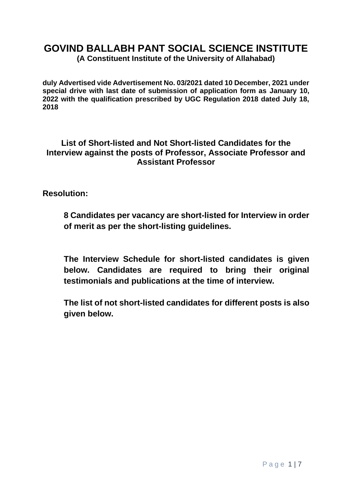## **GOVIND BALLABH PANT SOCIAL SCIENCE INSTITUTE (A Constituent Institute of the University of Allahabad)**

**duly Advertised vide Advertisement No. 03/2021 dated 10 December, 2021 under special drive with last date of submission of application form as January 10, 2022 with the qualification prescribed by UGC Regulation 2018 dated July 18, 2018**

#### **List of Short-listed and Not Short-listed Candidates for the Interview against the posts of Professor, Associate Professor and Assistant Professor**

#### **Resolution:**

**8 Candidates per vacancy are short-listed for Interview in order of merit as per the short-listing guidelines.**

**The Interview Schedule for short-listed candidates is given below. Candidates are required to bring their original testimonials and publications at the time of interview.** 

**The list of not short-listed candidates for different posts is also given below.**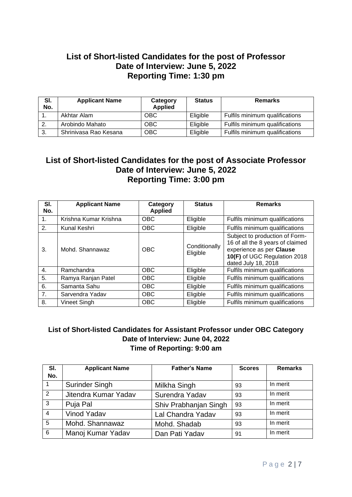### **List of Short-listed Candidates for the post of Professor Date of Interview: June 5, 2022 Reporting Time: 1:30 pm**

| SI.<br>No. | <b>Applicant Name</b> | Category<br><b>Applied</b> | <b>Status</b> | <b>Remarks</b>                 |
|------------|-----------------------|----------------------------|---------------|--------------------------------|
|            | Akhtar Alam           | <b>OBC</b>                 | Eligible      | Fulfils minimum qualifications |
|            | Arobindo Mahato       | <b>OBC</b>                 | Eligible      | Fulfils minimum qualifications |
| 3.         | Shrinivasa Rao Kesana | <b>OBC</b>                 | Eligible      | Fulfils minimum qualifications |

#### **List of Short-listed Candidates for the post of Associate Professor Date of Interview: June 5, 2022 Reporting Time: 3:00 pm**

| SI.<br>No.    | <b>Applicant Name</b> | Category<br><b>Applied</b> | <b>Status</b>             | <b>Remarks</b>                                                                                                                                        |
|---------------|-----------------------|----------------------------|---------------------------|-------------------------------------------------------------------------------------------------------------------------------------------------------|
| $\mathbf 1$ . | Krishna Kumar Krishna | <b>OBC</b>                 | Eligible                  | Fulfils minimum qualifications                                                                                                                        |
| 2.            | Kunal Keshri          | <b>OBC</b>                 | Eligible                  | Fulfils minimum qualifications                                                                                                                        |
| 3.            | Mohd. Shannawaz       | <b>OBC</b>                 | Conditionally<br>Eligible | Subject to production of Form-<br>16 of all the 8 years of claimed<br>experience as per Clause<br>10(F) of UGC Regulation 2018<br>dated July 18, 2018 |
| 4.            | Ramchandra            | <b>OBC</b>                 | Eligible                  | Fulfils minimum qualifications                                                                                                                        |
| 5.            | Ramya Ranjan Patel    | <b>OBC</b>                 | Eligible                  | Fulfils minimum qualifications                                                                                                                        |
| 6.            | Samanta Sahu          | <b>OBC</b>                 | Eligible                  | Fulfils minimum qualifications                                                                                                                        |
| 7.            | Sarvendra Yadav       | <b>OBC</b>                 | Eligible                  | Fulfils minimum qualifications                                                                                                                        |
| 8.            | Vineet Singh          | <b>OBC</b>                 | Eligible                  | Fulfils minimum qualifications                                                                                                                        |

#### **List of Short-listed Candidates for Assistant Professor under OBC Category Date of Interview: June 04, 2022 Time of Reporting: 9:00 am**

| SI.            | <b>Applicant Name</b> | <b>Father's Name</b>  | <b>Scores</b> | <b>Remarks</b> |
|----------------|-----------------------|-----------------------|---------------|----------------|
| No.            |                       |                       |               |                |
|                | Surinder Singh        | Milkha Singh          | 93            | In merit       |
| 2              | Jitendra Kumar Yadav  | Surendra Yadav        | 93            | In merit       |
| 3              | Puja Pal              | Shiv Prabhanjan Singh | 93            | In merit       |
| $\overline{4}$ | Vinod Yadav           | Lal Chandra Yadav     | 93            | In merit       |
| 5              | Mohd. Shannawaz       | Mohd. Shadab          | 93            | In merit       |
| 6              | Manoj Kumar Yadav     | Dan Pati Yadav        | 91            | In merit       |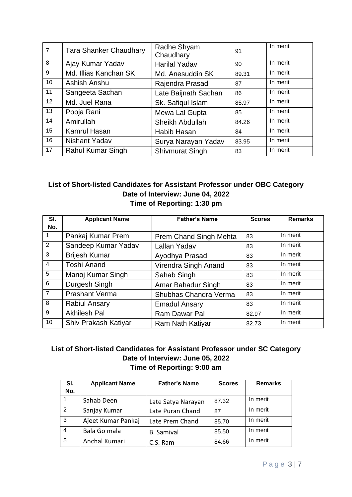| $\overline{7}$ | <b>Tara Shanker Chaudhary</b> | Radhe Shyam<br>Chaudhary | 91    | In merit |
|----------------|-------------------------------|--------------------------|-------|----------|
| 8              | Ajay Kumar Yadav              | <b>Harilal Yadav</b>     | 90    | In merit |
| 9              | Md. Illias Kanchan SK         | Md. Anesuddin SK         | 89.31 | In merit |
| 10             | Ashish Anshu                  | Rajendra Prasad          | 87    | In merit |
| 11             | Sangeeta Sachan               | Late Baijnath Sachan     | 86    | In merit |
| 12             | Md. Juel Rana                 | Sk. Safiqul Islam        | 85.97 | In merit |
| 13             | Pooja Rani                    | Mewa Lal Gupta           | 85    | In merit |
| 14             | Amirullah                     | Sheikh Abdullah          | 84.26 | In merit |
| 15             | Kamrul Hasan                  | Habib Hasan              | 84    | In merit |
| 16             | Nishant Yadav                 | Surya Narayan Yadav      | 83.95 | In merit |
| 17             | <b>Rahul Kumar Singh</b>      | <b>Shivmurat Singh</b>   | 83    | In merit |

#### **List of Short-listed Candidates for Assistant Professor under OBC Category Date of Interview: June 04, 2022 Time of Reporting: 1:30 pm**

| SI.            | <b>Applicant Name</b> | <b>Father's Name</b>   | <b>Scores</b> | <b>Remarks</b> |
|----------------|-----------------------|------------------------|---------------|----------------|
| No.            |                       |                        |               |                |
|                | Pankaj Kumar Prem     | Prem Chand Singh Mehta | 83            | In merit       |
| 2              | Sandeep Kumar Yadav   | Lallan Yadav           | 83            | In merit       |
| 3              | <b>Brijesh Kumar</b>  | Ayodhya Prasad         | 83            | In merit       |
| $\overline{4}$ | <b>Toshi Anand</b>    | Virendra Singh Anand   | 83            | In merit       |
| 5              | Manoj Kumar Singh     | Sahab Singh            | 83            | In merit       |
| 6              | Durgesh Singh         | Amar Bahadur Singh     | 83            | In merit       |
| $\overline{7}$ | <b>Prashant Verma</b> | Shubhas Chandra Verma  | 83            | In merit       |
| 8              | <b>Rabiul Ansary</b>  | <b>Emadul Ansary</b>   | 83            | In merit       |
| 9              | <b>Akhilesh Pal</b>   | Ram Dawar Pal          | 82.97         | In merit       |
| 10             | Shiv Prakash Katiyar  | Ram Nath Katiyar       | 82.73         | In merit       |

#### **List of Short-listed Candidates for Assistant Professor under SC Category Date of Interview: June 05, 2022 Time of Reporting: 9:00 am**

| SI.            | <b>Applicant Name</b> | <b>Father's Name</b> | <b>Scores</b> | <b>Remarks</b> |
|----------------|-----------------------|----------------------|---------------|----------------|
| No.            |                       |                      |               |                |
|                | Sahab Deen            | Late Satya Narayan   | 87.32         | In merit       |
| 2              | Sanjay Kumar          | Late Puran Chand     | 87            | In merit       |
| 3              | Ajeet Kumar Pankaj    | Late Prem Chand      | 85.70         | In merit       |
| $\overline{4}$ | Bala Go mala          | <b>B.</b> Samival    | 85.50         | In merit       |
| 5              | Anchal Kumari         | C.S. Ram             | 84.66         | In merit       |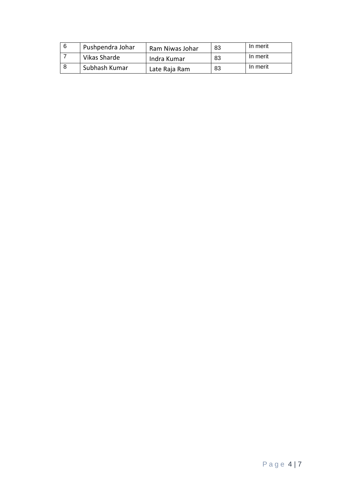| 6 | Pushpendra Johar | Ram Niwas Johar | 83 | In merit |
|---|------------------|-----------------|----|----------|
|   | Vikas Sharde     | Indra Kumar     | 83 | In merit |
|   | Subhash Kumar    | Late Raja Ram   | 83 | In merit |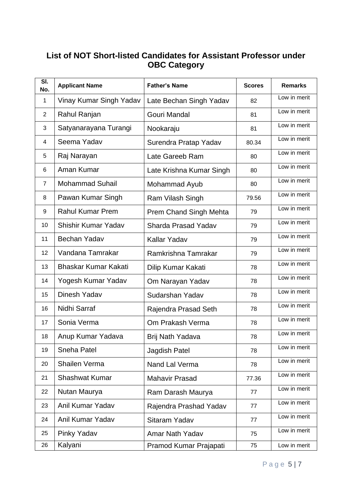## **List of NOT Short-listed Candidates for Assistant Professor under OBC Category**

| SI.<br>No.     | <b>Applicant Name</b>       | <b>Father's Name</b>       | <b>Scores</b> | <b>Remarks</b> |
|----------------|-----------------------------|----------------------------|---------------|----------------|
| $\mathbf{1}$   | Vinay Kumar Singh Yadav     | Late Bechan Singh Yadav    | 82            | Low in merit   |
| 2              | Rahul Ranjan                | Gouri Mandal               | 81            | Low in merit   |
| 3              | Satyanarayana Turangi       | Nookaraju                  | 81            | Low in merit   |
| 4              | Seema Yadav                 | Surendra Pratap Yadav      | 80.34         | Low in merit   |
| 5              | Raj Narayan                 | Late Gareeb Ram            | 80            | Low in merit   |
| 6              | Aman Kumar                  | Late Krishna Kumar Singh   | 80            | Low in merit   |
| $\overline{7}$ | <b>Mohammad Suhail</b>      | Mohammad Ayub              | 80            | Low in merit   |
| 8              | Pawan Kumar Singh           | Ram Vilash Singh           | 79.56         | Low in merit   |
| 9              | <b>Rahul Kumar Prem</b>     | Prem Chand Singh Mehta     | 79            | Low in merit   |
| 10             | Shishir Kumar Yadav         | <b>Sharda Prasad Yadav</b> | 79            | Low in merit   |
| 11             | Bechan Yadav                | Kallar Yadav               | 79            | Low in merit   |
| 12             | Vandana Tamrakar            | Ramkrishna Tamrakar        | 79            | Low in merit   |
| 13             | <b>Bhaskar Kumar Kakati</b> | Dilip Kumar Kakati         | 78            | Low in merit   |
| 14             | Yogesh Kumar Yadav          | Om Narayan Yadav           | 78            | Low in merit   |
| 15             | Dinesh Yadav                | Sudarshan Yadav            | 78            | Low in merit   |
| 16             | Nidhi Sarraf                | Rajendra Prasad Seth       | 78            | Low in merit   |
| 17             | Sonia Verma                 | Om Prakash Verma           | 78            | Low in merit   |
| 18             | Anup Kumar Yadava           | Brij Nath Yadava           | 78            | Low in merit   |
| 19             | <b>Sneha Patel</b>          | Jagdish Patel              | 78            | Low in merit   |
| 20             | <b>Shailen Verma</b>        | Nand Lal Verma             | 78            | Low in merit   |
| 21             | <b>Shashwat Kumar</b>       | <b>Mahavir Prasad</b>      | 77.36         | Low in merit   |
| 22             | Nutan Maurya                | Ram Darash Maurya          | 77            | Low in merit   |
| 23             | Anil Kumar Yadav            | Rajendra Prashad Yadav     | 77            | Low in merit   |
| 24             | Anil Kumar Yadav            | Sitaram Yadav              | 77            | Low in merit   |
| 25             | Pinky Yadav                 | Amar Nath Yadav            | 75            | Low in merit   |
| 26             | Kalyani                     | Pramod Kumar Prajapati     | 75            | Low in merit   |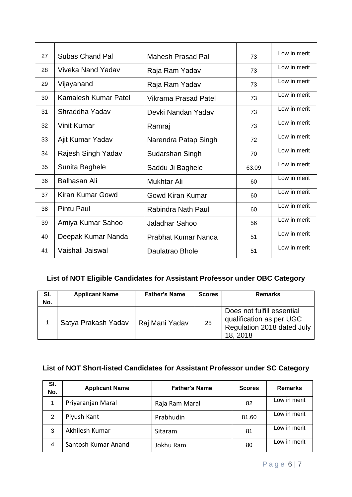| 27 | <b>Subas Chand Pal</b>   | Mahesh Prasad Pal     | 73    | Low in merit |
|----|--------------------------|-----------------------|-------|--------------|
| 28 | <b>Viveka Nand Yadav</b> | Raja Ram Yadav        | 73    | Low in merit |
| 29 | Vijayanand               | Raja Ram Yadav        | 73    | Low in merit |
| 30 | Kamalesh Kumar Patel     | Vikrama Prasad Patel  | 73    | Low in merit |
| 31 | Shraddha Yadav           | Devki Nandan Yadav    | 73    | Low in merit |
| 32 | <b>Vinit Kumar</b>       | Ramraj                | 73    | Low in merit |
| 33 | Ajit Kumar Yadav         | Narendra Patap Singh  | 72    | Low in merit |
| 34 | Rajesh Singh Yadav       | Sudarshan Singh       | 70    | Low in merit |
| 35 | Sunita Baghele           | Saddu Ji Baghele      | 63.09 | Low in merit |
| 36 | <b>Balhasan Ali</b>      | <b>Mukhtar Ali</b>    | 60    | Low in merit |
| 37 | Kiran Kumar Gowd         | Gowd Kiran Kumar      | 60    | Low in merit |
| 38 | <b>Pintu Paul</b>        | Rabindra Nath Paul    | 60    | Low in merit |
| 39 | Amiya Kumar Sahoo        | <b>Jaladhar Sahoo</b> | 56    | Low in merit |
| 40 | Deepak Kumar Nanda       | Prabhat Kumar Nanda   | 51    | Low in merit |
| 41 | Vaishali Jaiswal         | Daulatrao Bhole       | 51    | Low in merit |

# **List of NOT Eligible Candidates for Assistant Professor under OBC Category**

| SI.<br>No. | <b>Applicant Name</b> | <b>Father's Name</b> | <b>Scores</b> | <b>Remarks</b>                                                                                   |
|------------|-----------------------|----------------------|---------------|--------------------------------------------------------------------------------------------------|
|            | Satya Prakash Yadav   | Raj Mani Yadav       | 25            | Does not fulfill essential<br>qualification as per UGC<br>Regulation 2018 dated July<br>18, 2018 |

# **List of NOT Short-listed Candidates for Assistant Professor under SC Category**

| SI.<br>No. | <b>Applicant Name</b> | <b>Father's Name</b> | <b>Scores</b> | <b>Remarks</b> |
|------------|-----------------------|----------------------|---------------|----------------|
|            | Priyaranjan Maral     | Raja Ram Maral       | 82            | Low in merit   |
| 2          | Piyush Kant           | Prabhudin            | 81.60         | Low in merit   |
| 3          | Akhilesh Kumar        | Sitaram              | 81            | Low in merit   |
| 4          | Santosh Kumar Anand   | Jokhu Ram            | 80            | Low in merit   |